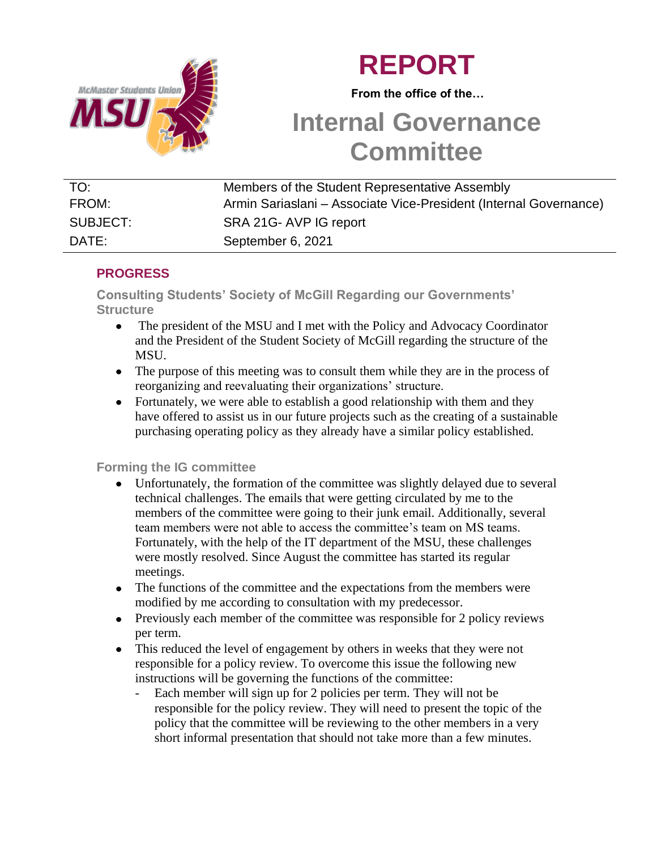

# **REPORT**

 **From the office of the…**

# **Internal Governance Committee**

| TO:      | Members of the Student Representative Assembly                    |
|----------|-------------------------------------------------------------------|
| FROM:    | Armin Sariaslani – Associate Vice-President (Internal Governance) |
| SUBJECT: | SRA 21G-AVP IG report                                             |
| DATE:    | September 6, 2021                                                 |

## **PROGRESS**

**Consulting Students' Society of McGill Regarding our Governments' Structure** 

- The president of the MSU and I met with the Policy and Advocacy Coordinator  $\bullet$ and the President of the Student Society of McGill regarding the structure of the MSU.
- The purpose of this meeting was to consult them while they are in the process of reorganizing and reevaluating their organizations' structure.
- Fortunately, we were able to establish a good relationship with them and they have offered to assist us in our future projects such as the creating of a sustainable purchasing operating policy as they already have a similar policy established.

## **Forming the IG committee**

- Unfortunately, the formation of the committee was slightly delayed due to several technical challenges. The emails that were getting circulated by me to the members of the committee were going to their junk email. Additionally, several team members were not able to access the committee's team on MS teams. Fortunately, with the help of the IT department of the MSU, these challenges were mostly resolved. Since August the committee has started its regular meetings.
- The functions of the committee and the expectations from the members were modified by me according to consultation with my predecessor.
- Previously each member of the committee was responsible for 2 policy reviews per term.
- This reduced the level of engagement by others in weeks that they were not responsible for a policy review. To overcome this issue the following new instructions will be governing the functions of the committee:
	- Each member will sign up for 2 policies per term. They will not be responsible for the policy review. They will need to present the topic of the policy that the committee will be reviewing to the other members in a very short informal presentation that should not take more than a few minutes.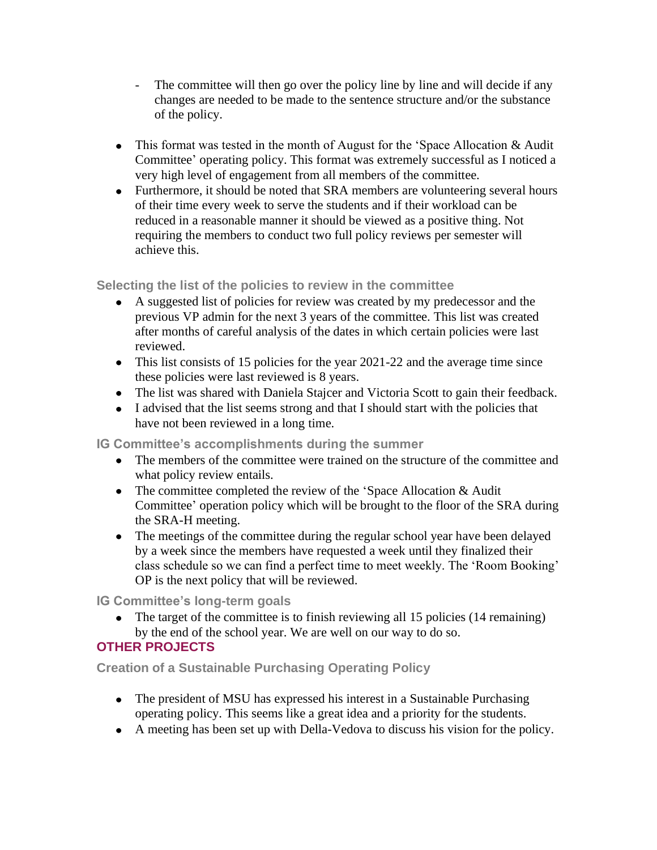- The committee will then go over the policy line by line and will decide if any changes are needed to be made to the sentence structure and/or the substance of the policy.
- This format was tested in the month of August for the 'Space Allocation  $\&$  Audit Committee' operating policy. This format was extremely successful as I noticed a very high level of engagement from all members of the committee.
- Furthermore, it should be noted that SRA members are volunteering several hours of their time every week to serve the students and if their workload can be reduced in a reasonable manner it should be viewed as a positive thing. Not requiring the members to conduct two full policy reviews per semester will achieve this.

### **Selecting the list of the policies to review in the committee**

- A suggested list of policies for review was created by my predecessor and the previous VP admin for the next 3 years of the committee. This list was created after months of careful analysis of the dates in which certain policies were last reviewed.
- This list consists of 15 policies for the year 2021-22 and the average time since these policies were last reviewed is 8 years.
- The list was shared with Daniela Stajcer and Victoria Scott to gain their feedback.
- I advised that the list seems strong and that I should start with the policies that have not been reviewed in a long time.

**IG Committee's accomplishments during the summer** 

- The members of the committee were trained on the structure of the committee and what policy review entails.
- The committee completed the review of the 'Space Allocation & Audit Committee' operation policy which will be brought to the floor of the SRA during the SRA-H meeting.
- The meetings of the committee during the regular school year have been delayed by a week since the members have requested a week until they finalized their class schedule so we can find a perfect time to meet weekly. The 'Room Booking' OP is the next policy that will be reviewed.

**IG Committee's long-term goals** 

• The target of the committee is to finish reviewing all 15 policies (14 remaining) by the end of the school year. We are well on our way to do so. **OTHER PROJECTS**

**Creation of a Sustainable Purchasing Operating Policy** 

- The president of MSU has expressed his interest in a Sustainable Purchasing operating policy. This seems like a great idea and a priority for the students.
- A meeting has been set up with Della-Vedova to discuss his vision for the policy.